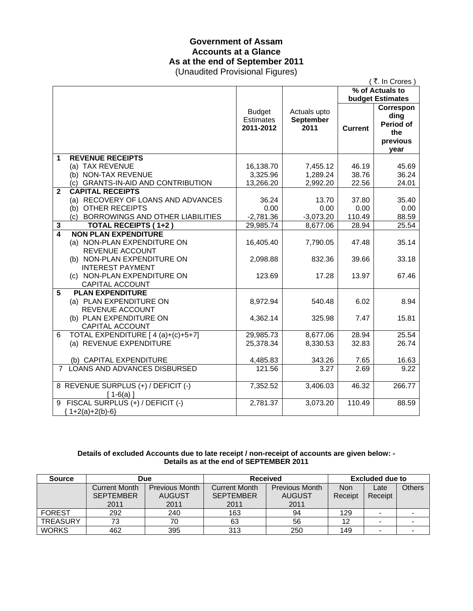# **Government of Assam Accounts at a Glance As at the end of September 2011**

(Unaudited Provisional Figures)

|                         |                                                                                                                             |                                                | (₹. In Crores)                    |                         |                                                                              |
|-------------------------|-----------------------------------------------------------------------------------------------------------------------------|------------------------------------------------|-----------------------------------|-------------------------|------------------------------------------------------------------------------|
|                         |                                                                                                                             | % of Actuals to                                |                                   |                         |                                                                              |
|                         |                                                                                                                             | <b>Budget</b><br><b>Estimates</b><br>2011-2012 | Actuals upto<br>September<br>2011 | <b>Current</b>          | <b>budget Estimates</b><br>Correspon<br>ding<br>Period of<br>the<br>previous |
|                         |                                                                                                                             |                                                |                                   |                         | year                                                                         |
| 1                       | <b>REVENUE RECEIPTS</b><br>(a) TAX REVENUE<br>(b) NON-TAX REVENUE<br>(c) GRANTS-IN-AID AND CONTRIBUTION                     | 16,138.70<br>3,325.96<br>13,266.20             | 7,455.12<br>1,289.24<br>2,992.20  | 46.19<br>38.76<br>22.56 | 45.69<br>36.24<br>24.01                                                      |
| $\mathbf{2}$            | <b>CAPITAL RECEIPTS</b><br>(a) RECOVERY OF LOANS AND ADVANCES<br>(b) OTHER RECEIPTS<br>(c) BORROWINGS AND OTHER LIABILITIES | 36.24<br>0.00<br>$-2,781.36$                   | 13.70<br>0.00<br>$-3,073.20$      | 37.80<br>0.00<br>110.49 | 35.40<br>0.00<br>88.59                                                       |
| 3                       | <b>TOTAL RECEIPTS (1+2)</b>                                                                                                 | 29,985.74                                      | 8,677.06                          | 28.94                   | 25.54                                                                        |
| $\overline{\mathbf{A}}$ | <b>NON PLAN EXPENDITURE</b><br>(a) NON-PLAN EXPENDITURE ON<br>REVENUE ACCOUNT<br>(b) NON-PLAN EXPENDITURE ON                | 16,405.40<br>2,098.88                          | 7,790.05<br>832.36                | 47.48<br>39.66          | 35.14<br>33.18                                                               |
|                         | <b>INTEREST PAYMENT</b><br>(c) NON-PLAN EXPENDITURE ON<br><b>CAPITAL ACCOUNT</b>                                            | 123.69                                         | 17.28                             | 13.97                   | 67.46                                                                        |
| 5                       | <b>PLAN EXPENDITURE</b><br>(a) PLAN EXPENDITURE ON<br><b>REVENUE ACCOUNT</b><br>(b) PLAN EXPENDITURE ON                     | 8,972.94<br>4,362.14                           | 540.48<br>325.98                  | 6.02<br>7.47            | 8.94<br>15.81                                                                |
| 6                       | CAPITAL ACCOUNT<br>TOTAL EXPENDITURE [4(a)+(c)+5+7]<br>(a) REVENUE EXPENDITURE                                              | 29,985.73<br>25,378.34                         | 8,677.06<br>8,330.53              | 28.94<br>32.83          | 25.54<br>26.74                                                               |
| $7^{\circ}$             | (b) CAPITAL EXPENDITURE<br>LOANS AND ADVANCES DISBURSED                                                                     | 4,485.83<br>121.56                             | 343.26<br>3.27                    | 7.65<br>2.69            | 16.63<br>9.22                                                                |
|                         | 8 REVENUE SURPLUS (+) / DEFICIT (-)<br>$[1-6(a)]$                                                                           | 7,352.52                                       | 3,406.03                          | 46.32                   | 266.77                                                                       |
|                         | 9 FISCAL SURPLUS (+) / DEFICIT (-)<br>${1+2(a)+2(b)-6}$                                                                     | 2,781.37                                       | 3,073.20                          | 110.49                  | 88.59                                                                        |

#### **Details of excluded Accounts due to late receipt / non-receipt of accounts are given below: - Details as at the end of SEPTEMBER 2011**

| <b>Source</b>   | Due                  |                       | <b>Received</b>      |                       | <b>Excluded due to</b> |         |        |
|-----------------|----------------------|-----------------------|----------------------|-----------------------|------------------------|---------|--------|
|                 | <b>Current Month</b> | <b>Previous Month</b> | <b>Current Month</b> | <b>Previous Month</b> | <b>Non</b>             | Late    | Others |
|                 | <b>SEPTEMBER</b>     | <b>AUGUST</b>         | <b>SEPTEMBER</b>     | <b>AUGUST</b>         | Receipt                | Receipt |        |
|                 | 2011                 | 2011                  | 2011                 | 2011                  |                        |         |        |
| <b>FOREST</b>   | 292                  | 240                   | 163                  | 94                    | 129                    |         |        |
| <b>TREASURY</b> | 73                   | 70                    | 63                   | 56                    | 12                     |         |        |
| <b>WORKS</b>    | 462                  | 395                   | 313                  | 250                   | 149                    |         |        |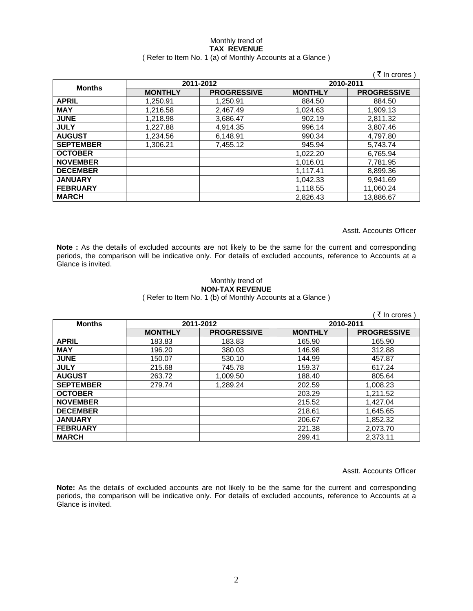#### Monthly trend of **TAX REVENUE**  ( Refer to Item No. 1 (a) of Monthly Accounts at a Glance )

|                  |                |                    |                | ₹ In crores)       |  |
|------------------|----------------|--------------------|----------------|--------------------|--|
|                  |                | 2011-2012          | 2010-2011      |                    |  |
| <b>Months</b>    | <b>MONTHLY</b> | <b>PROGRESSIVE</b> | <b>MONTHLY</b> | <b>PROGRESSIVE</b> |  |
| <b>APRIL</b>     | 1.250.91       | 1.250.91           | 884.50         | 884.50             |  |
| <b>MAY</b>       | 1,216.58       | 2,467.49           | 1,024.63       | 1,909.13           |  |
| <b>JUNE</b>      | 1.218.98       | 3,686.47           | 902.19         | 2.811.32           |  |
| <b>JULY</b>      | 1.227.88       | 4,914.35           | 996.14         | 3.807.46           |  |
| <b>AUGUST</b>    | 1,234.56       | 6,148.91           | 990.34         | 4,797.80           |  |
| <b>SEPTEMBER</b> | 1.306.21       | 7,455.12           | 945.94         | 5,743.74           |  |
| <b>OCTOBER</b>   |                |                    | 1,022.20       | 6,765.94           |  |
| <b>NOVEMBER</b>  |                |                    | 1,016.01       | 7,781.95           |  |
| <b>DECEMBER</b>  |                |                    | 1,117.41       | 8,899.36           |  |
| <b>JANUARY</b>   |                |                    | 1.042.33       | 9.941.69           |  |
| <b>FEBRUARY</b>  |                |                    | 1,118.55       | 11,060.24          |  |
| <b>MARCH</b>     |                |                    | 2,826.43       | 13,886.67          |  |

Asstt. Accounts Officer

**Note :** As the details of excluded accounts are not likely to be the same for the current and corresponding periods, the comparison will be indicative only. For details of excluded accounts, reference to Accounts at a Glance is invited.

### Monthly trend of **NON-TAX REVENUE**

( Refer to Item No. 1 (b) of Monthly Accounts at a Glance )

|                  |                |                    |                | ₹ In crores )      |
|------------------|----------------|--------------------|----------------|--------------------|
| <b>Months</b>    |                | 2011-2012          |                | 2010-2011          |
|                  | <b>MONTHLY</b> | <b>PROGRESSIVE</b> | <b>MONTHLY</b> | <b>PROGRESSIVE</b> |
| <b>APRIL</b>     | 183.83         | 183.83             | 165.90         | 165.90             |
| <b>MAY</b>       | 196.20         | 380.03             | 146.98         | 312.88             |
| <b>JUNE</b>      | 150.07         | 530.10             | 144.99         | 457.87             |
| <b>JULY</b>      | 215.68         | 745.78             | 159.37         | 617.24             |
| <b>AUGUST</b>    | 263.72         | 1,009.50           | 188.40         | 805.64             |
| <b>SEPTEMBER</b> | 279.74         | 1.289.24           | 202.59         | 1.008.23           |
| <b>OCTOBER</b>   |                |                    | 203.29         | 1,211.52           |
| <b>NOVEMBER</b>  |                |                    | 215.52         | 1,427.04           |
| <b>DECEMBER</b>  |                |                    | 218.61         | 1,645.65           |
| <b>JANUARY</b>   |                |                    | 206.67         | 1,852.32           |
| <b>FEBRUARY</b>  |                |                    | 221.38         | 2,073.70           |
| <b>MARCH</b>     |                |                    | 299.41         | 2,373.11           |

Asstt. Accounts Officer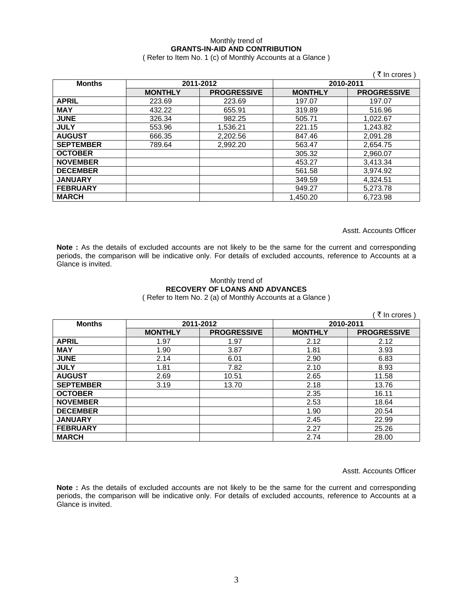### Monthly trend of **GRANTS-IN-AID AND CONTRIBUTION**

( Refer to Item No. 1 (c) of Monthly Accounts at a Glance )

|                  |                |                    |                | ₹ In crores)       |
|------------------|----------------|--------------------|----------------|--------------------|
| <b>Months</b>    |                | 2011-2012          |                | 2010-2011          |
|                  | <b>MONTHLY</b> | <b>PROGRESSIVE</b> | <b>MONTHLY</b> | <b>PROGRESSIVE</b> |
| <b>APRIL</b>     | 223.69         | 223.69             | 197.07         | 197.07             |
| <b>MAY</b>       | 432.22         | 655.91             | 319.89         | 516.96             |
| <b>JUNE</b>      | 326.34         | 982.25             | 505.71         | 1,022.67           |
| <b>JULY</b>      | 553.96         | 1,536.21           | 221.15         | 1,243.82           |
| <b>AUGUST</b>    | 666.35         | 2,202.56           | 847.46         | 2,091.28           |
| <b>SEPTEMBER</b> | 789.64         | 2,992.20           | 563.47         | 2,654.75           |
| <b>OCTOBER</b>   |                |                    | 305.32         | 2,960.07           |
| <b>NOVEMBER</b>  |                |                    | 453.27         | 3,413.34           |
| <b>DECEMBER</b>  |                |                    | 561.58         | 3,974.92           |
| <b>JANUARY</b>   |                |                    | 349.59         | 4,324.51           |
| <b>FEBRUARY</b>  |                |                    | 949.27         | 5,273.78           |
| <b>MARCH</b>     |                |                    | 1.450.20       | 6.723.98           |

Asstt. Accounts Officer

**Note :** As the details of excluded accounts are not likely to be the same for the current and corresponding periods, the comparison will be indicative only. For details of excluded accounts, reference to Accounts at a Glance is invited.

#### Monthly trend of **RECOVERY OF LOANS AND ADVANCES**  ( Refer to Item No. 2 (a) of Monthly Accounts at a Glance )

|                  |                |                    |                | ₹ In crores)       |
|------------------|----------------|--------------------|----------------|--------------------|
| <b>Months</b>    |                | 2011-2012          | 2010-2011      |                    |
|                  | <b>MONTHLY</b> | <b>PROGRESSIVE</b> | <b>MONTHLY</b> | <b>PROGRESSIVE</b> |
| <b>APRIL</b>     | 1.97           | 1.97               | 2.12           | 2.12               |
| <b>MAY</b>       | 1.90           | 3.87               | 1.81           | 3.93               |
| <b>JUNE</b>      | 2.14           | 6.01               | 2.90           | 6.83               |
| <b>JULY</b>      | 1.81           | 7.82               | 2.10           | 8.93               |
| <b>AUGUST</b>    | 2.69           | 10.51              | 2.65           | 11.58              |
| <b>SEPTEMBER</b> | 3.19           | 13.70              | 2.18           | 13.76              |
| <b>OCTOBER</b>   |                |                    | 2.35           | 16.11              |
| <b>NOVEMBER</b>  |                |                    | 2.53           | 18.64              |
| <b>DECEMBER</b>  |                |                    | 1.90           | 20.54              |
| <b>JANUARY</b>   |                |                    | 2.45           | 22.99              |
| <b>FEBRUARY</b>  |                |                    | 2.27           | 25.26              |
| <b>MARCH</b>     |                |                    | 2.74           | 28.00              |

Asstt. Accounts Officer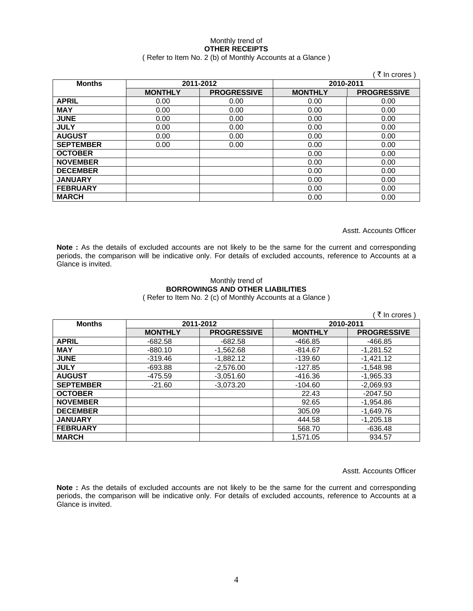## Monthly trend of **OTHER RECEIPTS**

## ( Refer to Item No. 2 (b) of Monthly Accounts at a Glance )

|                  |                |                    |                | ∶ ₹ In crores )    |
|------------------|----------------|--------------------|----------------|--------------------|
| <b>Months</b>    |                | 2011-2012          | 2010-2011      |                    |
|                  | <b>MONTHLY</b> | <b>PROGRESSIVE</b> | <b>MONTHLY</b> | <b>PROGRESSIVE</b> |
| <b>APRIL</b>     | 0.00           | 0.00               | 0.00           | 0.00               |
| <b>MAY</b>       | 0.00           | 0.00               | 0.00           | 0.00               |
| <b>JUNE</b>      | 0.00           | 0.00               | 0.00           | 0.00               |
| <b>JULY</b>      | 0.00           | 0.00               | 0.00           | 0.00               |
| <b>AUGUST</b>    | 0.00           | 0.00               | 0.00           | 0.00               |
| <b>SEPTEMBER</b> | 0.00           | 0.00               | 0.00           | 0.00               |
| <b>OCTOBER</b>   |                |                    | 0.00           | 0.00               |
| <b>NOVEMBER</b>  |                |                    | 0.00           | 0.00               |
| <b>DECEMBER</b>  |                |                    | 0.00           | 0.00               |
| <b>JANUARY</b>   |                |                    | 0.00           | 0.00               |
| <b>FEBRUARY</b>  |                |                    | 0.00           | 0.00               |
| <b>MARCH</b>     |                |                    | 0.00           | 0.00               |

Asstt. Accounts Officer

Note : As the details of excluded accounts are not likely to be the same for the current and corresponding periods, the comparison will be indicative only. For details of excluded accounts, reference to Accounts at a Glance is invited.

## Monthly trend of **BORROWINGS AND OTHER LIABILITIES**

( Refer to Item No. 2 (c) of Monthly Accounts at a Glance )

|                  |                |                    |                | ्रे In crores )    |
|------------------|----------------|--------------------|----------------|--------------------|
| <b>Months</b>    | 2011-2012      |                    |                | 2010-2011          |
|                  | <b>MONTHLY</b> | <b>PROGRESSIVE</b> | <b>MONTHLY</b> | <b>PROGRESSIVE</b> |
| <b>APRIL</b>     | $-682.58$      | $-682.58$          | -466.85        | $-466.85$          |
| <b>MAY</b>       | $-880.10$      | $-1,562.68$        | $-814.67$      | $-1,281.52$        |
| <b>JUNE</b>      | $-319.46$      | $-1.882.12$        | $-139.60$      | $-1,421.12$        |
| <b>JULY</b>      | $-693.88$      | $-2,576.00$        | -127.85        | $-1.548.98$        |
| <b>AUGUST</b>    | -475.59        | $-3.051.60$        | -416.36        | $-1.965.33$        |
| <b>SEPTEMBER</b> | $-21.60$       | $-3,073.20$        | $-104.60$      | $-2,069.93$        |
| <b>OCTOBER</b>   |                |                    | 22.43          | $-2047.50$         |
| <b>NOVEMBER</b>  |                |                    | 92.65          | $-1,954.86$        |
| <b>DECEMBER</b>  |                |                    | 305.09         | $-1,649.76$        |
| <b>JANUARY</b>   |                |                    | 444.58         | $-1,205.18$        |
| <b>FEBRUARY</b>  |                |                    | 568.70         | $-636.48$          |
| <b>MARCH</b>     |                |                    | 1.571.05       | 934.57             |

Asstt. Accounts Officer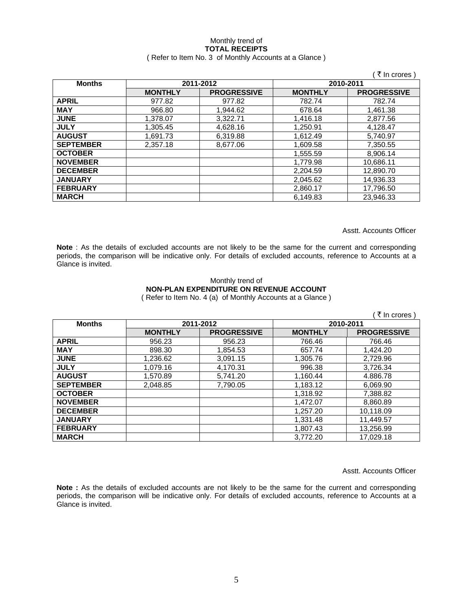#### Monthly trend of **TOTAL RECEIPTS**  ( Refer to Item No. 3 of Monthly Accounts at a Glance )

|                  |                |                    |                | ं ₹ In crores )    |
|------------------|----------------|--------------------|----------------|--------------------|
| <b>Months</b>    | 2011-2012      |                    |                | 2010-2011          |
|                  | <b>MONTHLY</b> | <b>PROGRESSIVE</b> | <b>MONTHLY</b> | <b>PROGRESSIVE</b> |
| <b>APRIL</b>     | 977.82         | 977.82             | 782.74         | 782.74             |
| <b>MAY</b>       | 966.80         | 1,944.62           | 678.64         | 1,461.38           |
| <b>JUNE</b>      | 1,378.07       | 3.322.71           | 1,416.18       | 2,877.56           |
| <b>JULY</b>      | 1,305.45       | 4,628.16           | 1,250.91       | 4,128.47           |
| <b>AUGUST</b>    | 1,691.73       | 6,319.88           | 1,612.49       | 5,740.97           |
| <b>SEPTEMBER</b> | 2.357.18       | 8.677.06           | 1,609.58       | 7,350.55           |
| <b>OCTOBER</b>   |                |                    | 1,555.59       | 8.906.14           |
| <b>NOVEMBER</b>  |                |                    | 1,779.98       | 10,686.11          |
| <b>DECEMBER</b>  |                |                    | 2,204.59       | 12,890.70          |
| <b>JANUARY</b>   |                |                    | 2,045.62       | 14,936.33          |
| <b>FEBRUARY</b>  |                |                    | 2,860.17       | 17,796.50          |
| <b>MARCH</b>     |                |                    | 6.149.83       | 23.946.33          |

Asstt. Accounts Officer

**Note** : As the details of excluded accounts are not likely to be the same for the current and corresponding periods, the comparison will be indicative only. For details of excluded accounts, reference to Accounts at a Glance is invited.

#### Monthly trend of **NON-PLAN EXPENDITURE ON REVENUE ACCOUNT**  ( Refer to Item No. 4 (a) of Monthly Accounts at a Glance )

| ₹ In crores      |                |                    |                |                    |  |
|------------------|----------------|--------------------|----------------|--------------------|--|
| <b>Months</b>    |                | 2011-2012          | 2010-2011      |                    |  |
|                  | <b>MONTHLY</b> | <b>PROGRESSIVE</b> | <b>MONTHLY</b> | <b>PROGRESSIVE</b> |  |
| <b>APRIL</b>     | 956.23         | 956.23             | 766.46         | 766.46             |  |
| <b>MAY</b>       | 898.30         | 1,854.53           | 657.74         | 1,424.20           |  |
| <b>JUNE</b>      | 1,236.62       | 3,091.15           | 1,305.76       | 2,729.96           |  |
| <b>JULY</b>      | 1,079.16       | 4,170.31           | 996.38         | 3,726.34           |  |
| <b>AUGUST</b>    | 1,570.89       | 5,741.20           | 1,160.44       | 4.886.78           |  |
| <b>SEPTEMBER</b> | 2.048.85       | 7.790.05           | 1,183.12       | 6,069.90           |  |
| <b>OCTOBER</b>   |                |                    | 1.318.92       | 7,388.82           |  |
| <b>NOVEMBER</b>  |                |                    | 1,472.07       | 8,860.89           |  |
| <b>DECEMBER</b>  |                |                    | 1,257.20       | 10,118.09          |  |
| <b>JANUARY</b>   |                |                    | 1,331.48       | 11,449.57          |  |
| <b>FEBRUARY</b>  |                |                    | 1,807.43       | 13,256.99          |  |
| <b>MARCH</b>     |                |                    | 3.772.20       | 17.029.18          |  |

Asstt. Accounts Officer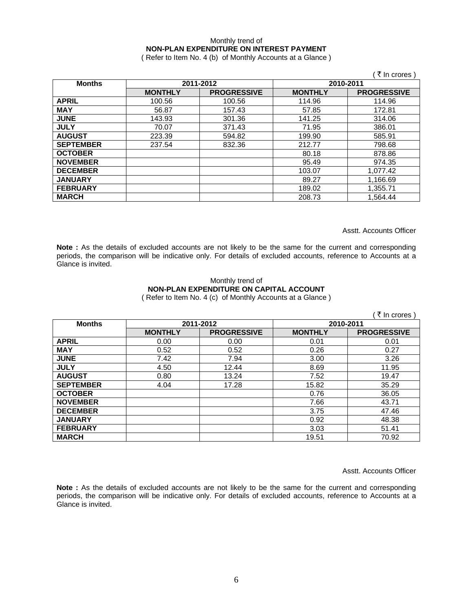### Monthly trend of **NON-PLAN EXPENDITURE ON INTEREST PAYMENT**

( Refer to Item No. 4 (b) of Monthly Accounts at a Glance )

|                  |                |                    |                | (₹ In crores)      |
|------------------|----------------|--------------------|----------------|--------------------|
| <b>Months</b>    |                | 2011-2012          | 2010-2011      |                    |
|                  | <b>MONTHLY</b> | <b>PROGRESSIVE</b> | <b>MONTHLY</b> | <b>PROGRESSIVE</b> |
| <b>APRIL</b>     | 100.56         | 100.56             | 114.96         | 114.96             |
| <b>MAY</b>       | 56.87          | 157.43             | 57.85          | 172.81             |
| <b>JUNE</b>      | 143.93         | 301.36             | 141.25         | 314.06             |
| <b>JULY</b>      | 70.07          | 371.43             | 71.95          | 386.01             |
| <b>AUGUST</b>    | 223.39         | 594.82             | 199.90         | 585.91             |
| <b>SEPTEMBER</b> | 237.54         | 832.36             | 212.77         | 798.68             |
| <b>OCTOBER</b>   |                |                    | 80.18          | 878.86             |
| <b>NOVEMBER</b>  |                |                    | 95.49          | 974.35             |
| <b>DECEMBER</b>  |                |                    | 103.07         | 1,077.42           |
| <b>JANUARY</b>   |                |                    | 89.27          | 1,166.69           |
| <b>FEBRUARY</b>  |                |                    | 189.02         | 1,355.71           |
| <b>MARCH</b>     |                |                    | 208.73         | 1.564.44           |

Asstt. Accounts Officer

Note : As the details of excluded accounts are not likely to be the same for the current and corresponding periods, the comparison will be indicative only. For details of excluded accounts, reference to Accounts at a Glance is invited.

#### Monthly trend of **NON-PLAN EXPENDITURE ON CAPITAL ACCOUNT**  ( Refer to Item No. 4 (c) of Monthly Accounts at a Glance )

|                  |                |                    |                | ( ₹ In crores)     |
|------------------|----------------|--------------------|----------------|--------------------|
| <b>Months</b>    |                | 2011-2012          | 2010-2011      |                    |
|                  | <b>MONTHLY</b> | <b>PROGRESSIVE</b> | <b>MONTHLY</b> | <b>PROGRESSIVE</b> |
| <b>APRIL</b>     | 0.00           | 0.00               | 0.01           | 0.01               |
| <b>MAY</b>       | 0.52           | 0.52               | 0.26           | 0.27               |
| <b>JUNE</b>      | 7.42           | 7.94               | 3.00           | 3.26               |
| <b>JULY</b>      | 4.50           | 12.44              | 8.69           | 11.95              |
| <b>AUGUST</b>    | 0.80           | 13.24              | 7.52           | 19.47              |
| <b>SEPTEMBER</b> | 4.04           | 17.28              | 15.82          | 35.29              |
| <b>OCTOBER</b>   |                |                    | 0.76           | 36.05              |
| <b>NOVEMBER</b>  |                |                    | 7.66           | 43.71              |
| <b>DECEMBER</b>  |                |                    | 3.75           | 47.46              |
| <b>JANUARY</b>   |                |                    | 0.92           | 48.38              |
| <b>FEBRUARY</b>  |                |                    | 3.03           | 51.41              |
| <b>MARCH</b>     |                |                    | 19.51          | 70.92              |

Asstt. Accounts Officer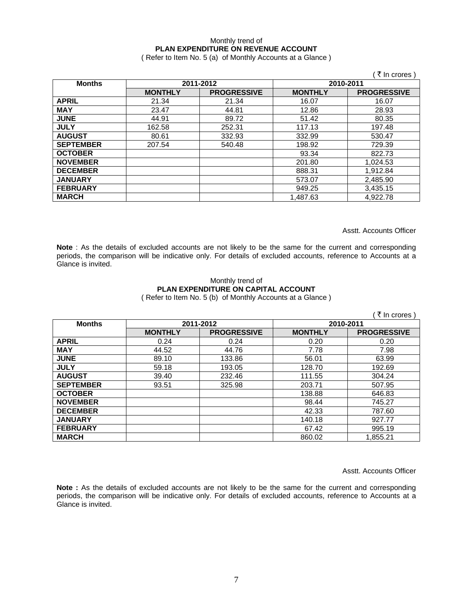### Monthly trend of **PLAN EXPENDITURE ON REVENUE ACCOUNT**

( Refer to Item No. 5 (a) of Monthly Accounts at a Glance )

|                  |                |                    |                | ₹ In crores)       |
|------------------|----------------|--------------------|----------------|--------------------|
| <b>Months</b>    | 2011-2012      |                    | 2010-2011      |                    |
|                  | <b>MONTHLY</b> | <b>PROGRESSIVE</b> | <b>MONTHLY</b> | <b>PROGRESSIVE</b> |
| <b>APRIL</b>     | 21.34          | 21.34              | 16.07          | 16.07              |
| <b>MAY</b>       | 23.47          | 44.81              | 12.86          | 28.93              |
| <b>JUNE</b>      | 44.91          | 89.72              | 51.42          | 80.35              |
| <b>JULY</b>      | 162.58         | 252.31             | 117.13         | 197.48             |
| <b>AUGUST</b>    | 80.61          | 332.93             | 332.99         | 530.47             |
| <b>SEPTEMBER</b> | 207.54         | 540.48             | 198.92         | 729.39             |
| <b>OCTOBER</b>   |                |                    | 93.34          | 822.73             |
| <b>NOVEMBER</b>  |                |                    | 201.80         | 1,024.53           |
| <b>DECEMBER</b>  |                |                    | 888.31         | 1,912.84           |
| <b>JANUARY</b>   |                |                    | 573.07         | 2,485.90           |
| <b>FEBRUARY</b>  |                |                    | 949.25         | 3,435.15           |
| <b>MARCH</b>     |                |                    | 1,487.63       | 4,922.78           |

Asstt. Accounts Officer

**Note** : As the details of excluded accounts are not likely to be the same for the current and corresponding periods, the comparison will be indicative only. For details of excluded accounts, reference to Accounts at a Glance is invited.

#### Monthly trend of **PLAN EXPENDITURE ON CAPITAL ACCOUNT**  ( Refer to Item No. 5 (b) of Monthly Accounts at a Glance )

|                  |                |                    |                | ∶ ₹ In crores )    |
|------------------|----------------|--------------------|----------------|--------------------|
| <b>Months</b>    | 2011-2012      |                    | 2010-2011      |                    |
|                  | <b>MONTHLY</b> | <b>PROGRESSIVE</b> | <b>MONTHLY</b> | <b>PROGRESSIVE</b> |
| <b>APRIL</b>     | 0.24           | 0.24               | 0.20           | 0.20               |
| <b>MAY</b>       | 44.52          | 44.76              | 7.78           | 7.98               |
| <b>JUNE</b>      | 89.10          | 133.86             | 56.01          | 63.99              |
| <b>JULY</b>      | 59.18          | 193.05             | 128.70         | 192.69             |
| <b>AUGUST</b>    | 39.40          | 232.46             | 111.55         | 304.24             |
| <b>SEPTEMBER</b> | 93.51          | 325.98             | 203.71         | 507.95             |
| <b>OCTOBER</b>   |                |                    | 138.88         | 646.83             |
| <b>NOVEMBER</b>  |                |                    | 98.44          | 745.27             |
| <b>DECEMBER</b>  |                |                    | 42.33          | 787.60             |
| <b>JANUARY</b>   |                |                    | 140.18         | 927.77             |
| <b>FEBRUARY</b>  |                |                    | 67.42          | 995.19             |
| <b>MARCH</b>     |                |                    | 860.02         | 1,855.21           |

Asstt. Accounts Officer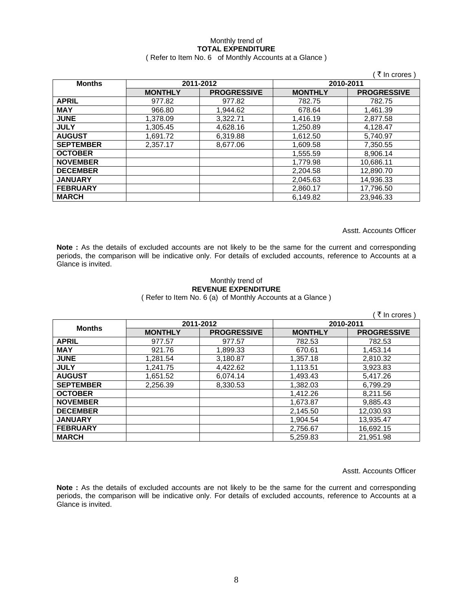## Monthly trend of **TOTAL EXPENDITURE**

### ( Refer to Item No. 6 of Monthly Accounts at a Glance )

|                  |                |                    |                | ₹ In crores        |
|------------------|----------------|--------------------|----------------|--------------------|
| <b>Months</b>    | 2011-2012      |                    | 2010-2011      |                    |
|                  | <b>MONTHLY</b> | <b>PROGRESSIVE</b> | <b>MONTHLY</b> | <b>PROGRESSIVE</b> |
| <b>APRIL</b>     | 977.82         | 977.82             | 782.75         | 782.75             |
| <b>MAY</b>       | 966.80         | 1.944.62           | 678.64         | 1.461.39           |
| <b>JUNE</b>      | 1.378.09       | 3,322.71           | 1,416.19       | 2,877.58           |
| <b>JULY</b>      | 1,305.45       | 4,628.16           | 1,250.89       | 4,128.47           |
| <b>AUGUST</b>    | 1,691.72       | 6,319.88           | 1,612.50       | 5,740.97           |
| <b>SEPTEMBER</b> | 2,357.17       | 8,677.06           | 1,609.58       | 7,350.55           |
| <b>OCTOBER</b>   |                |                    | 1,555.59       | 8,906.14           |
| <b>NOVEMBER</b>  |                |                    | 1,779.98       | 10,686.11          |
| <b>DECEMBER</b>  |                |                    | 2,204.58       | 12,890.70          |
| <b>JANUARY</b>   |                |                    | 2,045.63       | 14,936.33          |
| <b>FEBRUARY</b>  |                |                    | 2,860.17       | 17,796.50          |
| <b>MARCH</b>     |                |                    | 6,149.82       | 23.946.33          |

Asstt. Accounts Officer

**Note :** As the details of excluded accounts are not likely to be the same for the current and corresponding periods, the comparison will be indicative only. For details of excluded accounts, reference to Accounts at a Glance is invited.

#### Monthly trend of **REVENUE EXPENDITURE**  ( Refer to Item No. 6 (a) of Monthly Accounts at a Glance )

( $\bar{\tau}$  In crores) **Months 2011-2012 2010-2011 MONTHLY PROGRESSIVE MONTHLY PROGRESSIVE APRIL** 977.57 977.57 782.53 782.53 **MAY** 921.76 1,899.33 670.61 1,453.14 **JUNE** | 1,281.54 | 3,180.87 | 1,357.18 | 2,810.32 **JULY** 1,241.75 4,422.62 1,113.51 3,923.83 **AUGUST** 1,651.52 6,074.14 1,493.43 5,417.26 **SEPTEMBER** | 2,256.39 | 8,330.53 | 1,382.03 | 6,799.29 **OCTOBER** | 2009 | 21,412.26 | 21,412.26 | 21,413.56 **NOVEMBER** | 2009 | 2009 | 2009 | 2010 | 2020 | 2020 | 2030 | 2040 | 2020 | 2020 | 2020 | 2020 | 2020 | 2020 | 20 **DECEMBER** | 2,145.50 | 12,030.93 **JANUARY** 1,904.54 13,935.47 **FEBRUARY** | 2,756.67 | 16,692.15 **MARCH** 5,259.83 21,951.98

Asstt. Accounts Officer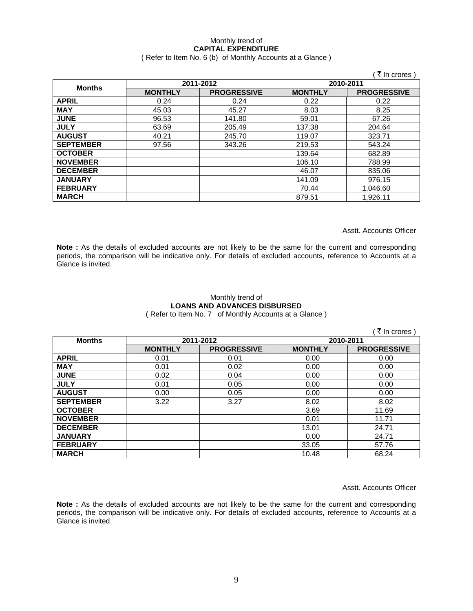## Monthly trend of **CAPITAL EXPENDITURE**

### ( Refer to Item No. 6 (b) of Monthly Accounts at a Glance )

|                  |                |                    |                | ्रे In crores )    |
|------------------|----------------|--------------------|----------------|--------------------|
| <b>Months</b>    | 2011-2012      |                    | 2010-2011      |                    |
|                  | <b>MONTHLY</b> | <b>PROGRESSIVE</b> | <b>MONTHLY</b> | <b>PROGRESSIVE</b> |
| <b>APRIL</b>     | 0.24           | 0.24               | 0.22           | 0.22               |
| <b>MAY</b>       | 45.03          | 45.27              | 8.03           | 8.25               |
| <b>JUNE</b>      | 96.53          | 141.80             | 59.01          | 67.26              |
| <b>JULY</b>      | 63.69          | 205.49             | 137.38         | 204.64             |
| <b>AUGUST</b>    | 40.21          | 245.70             | 119.07         | 323.71             |
| <b>SEPTEMBER</b> | 97.56          | 343.26             | 219.53         | 543.24             |
| <b>OCTOBER</b>   |                |                    | 139.64         | 682.89             |
| <b>NOVEMBER</b>  |                |                    | 106.10         | 788.99             |
| <b>DECEMBER</b>  |                |                    | 46.07          | 835.06             |
| <b>JANUARY</b>   |                |                    | 141.09         | 976.15             |
| <b>FEBRUARY</b>  |                |                    | 70.44          | 1,046.60           |
| <b>MARCH</b>     |                |                    | 879.51         | 1,926.11           |

Asstt. Accounts Officer

**Note :** As the details of excluded accounts are not likely to be the same for the current and corresponding periods, the comparison will be indicative only. For details of excluded accounts, reference to Accounts at a Glance is invited.

## Monthly trend of **LOANS AND ADVANCES DISBURSED**

( Refer to Item No. 7 of Monthly Accounts at a Glance )

|                  |                |                    |                | ∶ ₹ In crores )    |
|------------------|----------------|--------------------|----------------|--------------------|
| <b>Months</b>    | 2011-2012      |                    | 2010-2011      |                    |
|                  | <b>MONTHLY</b> | <b>PROGRESSIVE</b> | <b>MONTHLY</b> | <b>PROGRESSIVE</b> |
| <b>APRIL</b>     | 0.01           | 0.01               | 0.00           | 0.00               |
| <b>MAY</b>       | 0.01           | 0.02               | 0.00           | 0.00               |
| <b>JUNE</b>      | 0.02           | 0.04               | 0.00           | 0.00               |
| <b>JULY</b>      | 0.01           | 0.05               | 0.00           | 0.00               |
| <b>AUGUST</b>    | 0.00           | 0.05               | 0.00           | 0.00               |
| <b>SEPTEMBER</b> | 3.22           | 3.27               | 8.02           | 8.02               |
| <b>OCTOBER</b>   |                |                    | 3.69           | 11.69              |
| <b>NOVEMBER</b>  |                |                    | 0.01           | 11.71              |
| <b>DECEMBER</b>  |                |                    | 13.01          | 24.71              |
| <b>JANUARY</b>   |                |                    | 0.00           | 24.71              |
| <b>FEBRUARY</b>  |                |                    | 33.05          | 57.76              |
| <b>MARCH</b>     |                |                    | 10.48          | 68.24              |

Asstt. Accounts Officer